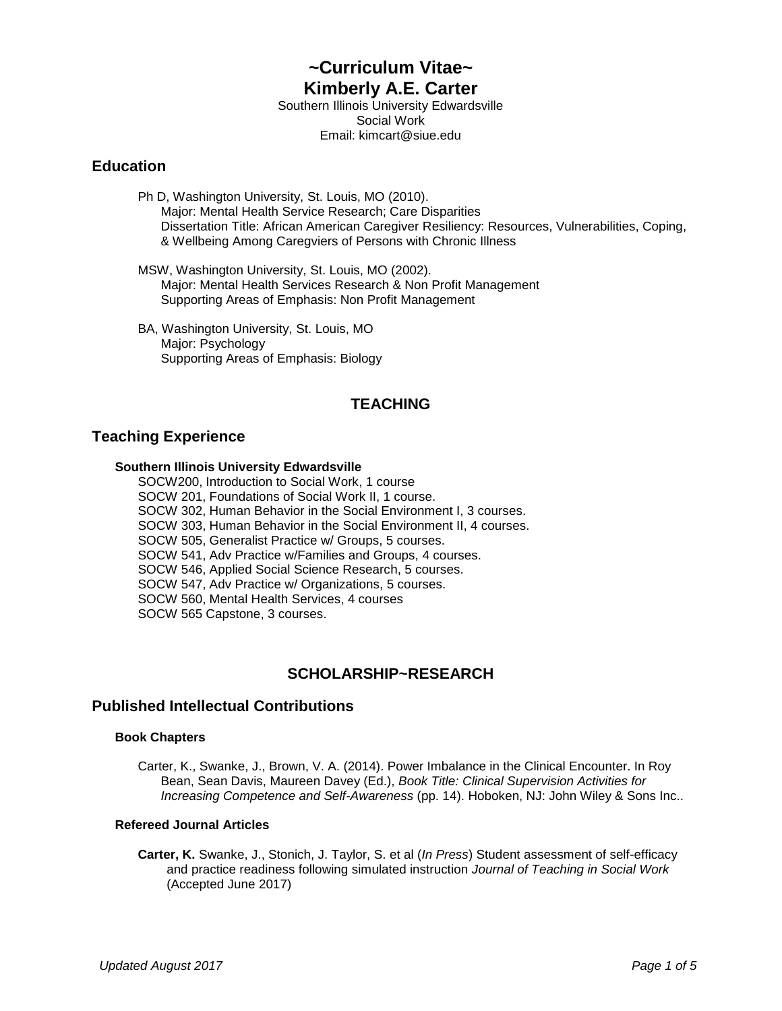# **~Curriculum Vitae~ Kimberly A.E. Carter**

Southern Illinois University Edwardsville Social Work Email: kimcart@siue.edu

## **Education**

Ph D, Washington University, St. Louis, MO (2010). Major: Mental Health Service Research; Care Disparities Dissertation Title: African American Caregiver Resiliency: Resources, Vulnerabilities, Coping, & Wellbeing Among Caregviers of Persons with Chronic Illness

MSW, Washington University, St. Louis, MO (2002). Major: Mental Health Services Research & Non Profit Management Supporting Areas of Emphasis: Non Profit Management

BA, Washington University, St. Louis, MO Major: Psychology Supporting Areas of Emphasis: Biology

# **TEACHING**

# **Teaching Experience**

### **Southern Illinois University Edwardsville**

SOCW200, Introduction to Social Work, 1 course SOCW 201, Foundations of Social Work II, 1 course. SOCW 302, Human Behavior in the Social Environment I, 3 courses. SOCW 303, Human Behavior in the Social Environment II, 4 courses. SOCW 505, Generalist Practice w/ Groups, 5 courses. SOCW 541, Adv Practice w/Families and Groups, 4 courses. SOCW 546, Applied Social Science Research, 5 courses. SOCW 547, Adv Practice w/ Organizations, 5 courses. SOCW 560, Mental Health Services, 4 courses SOCW 565 Capstone, 3 courses.

# **SCHOLARSHIP~RESEARCH**

# **Published Intellectual Contributions**

### **Book Chapters**

Carter, K., Swanke, J., Brown, V. A. (2014). Power Imbalance in the Clinical Encounter. In Roy Bean, Sean Davis, Maureen Davey (Ed.), *Book Title: Clinical Supervision Activities for Increasing Competence and Self-Awareness* (pp. 14). Hoboken, NJ: John Wiley & Sons Inc..

#### **Refereed Journal Articles**

**Carter, K.** Swanke, J., Stonich, J. Taylor, S. et al (*In Press*) Student assessment of self-efficacy and practice readiness following simulated instruction *Journal of Teaching in Social Work* (Accepted June 2017)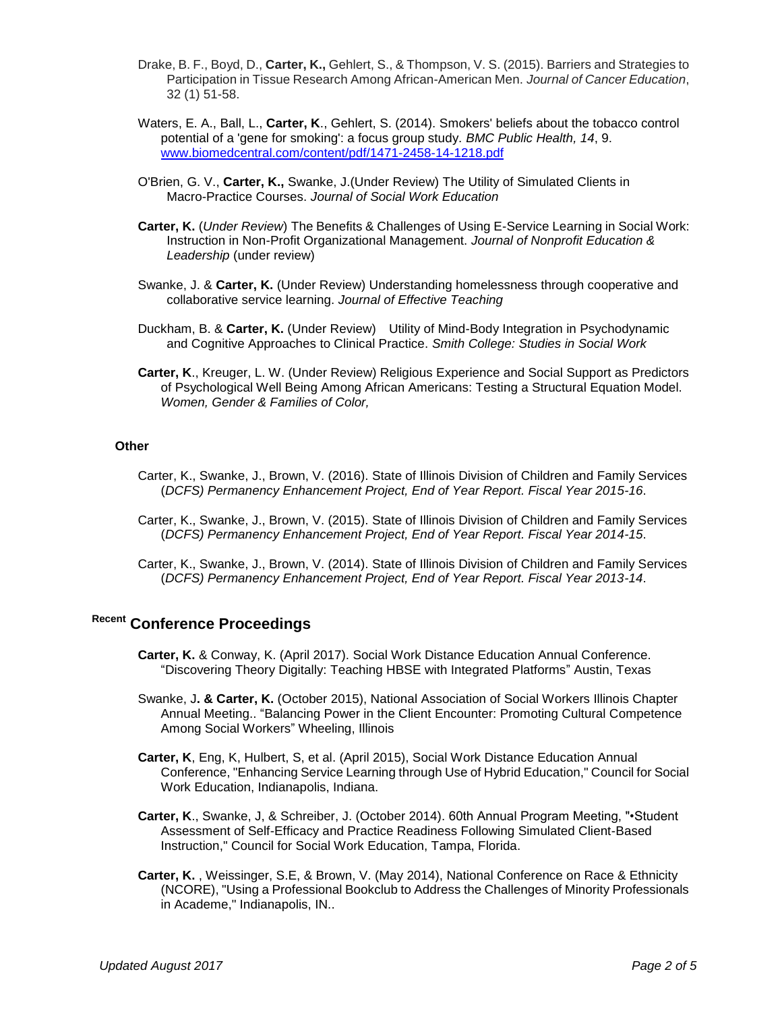- Drake, B. F., Boyd, D., **Carter, K.,** Gehlert, S., & Thompson, V. S. (2015). Barriers and Strategies to Participation in Tissue Research Among African-American Men. *Journal of Cancer Education*, 32 (1) 51-58.
- Waters, E. A., Ball, L., **Carter, K**., Gehlert, S. (2014). Smokers' beliefs about the tobacco control potential of a 'gene for smoking': a focus group study. *BMC Public Health, 14*, 9. [www.biomedcentral.com/content/pdf/1471-2458-14-1218.pdf](http://www.biomedcentral.com/content/pdf/1471-2458-14-1218.pdf)
- O'Brien, G. V., **Carter, K.,** Swanke, J.(Under Review) The Utility of Simulated Clients in Macro-Practice Courses. *Journal of Social Work Education*
- **Carter, K.** (*Under Review*) The Benefits & Challenges of Using E-Service Learning in Social Work: Instruction in Non-Profit Organizational Management. *Journal of Nonprofit Education & Leadership* (under review)
- Swanke, J. & **Carter, K.** (Under Review) Understanding homelessness through cooperative and collaborative service learning. *Journal of Effective Teaching*
- Duckham, B. & **Carter, K.** (Under Review) Utility of Mind-Body Integration in Psychodynamic and Cognitive Approaches to Clinical Practice. *Smith College: Studies in Social Work*
- **Carter, K**., Kreuger, L. W. (Under Review) Religious Experience and Social Support as Predictors of Psychological Well Being Among African Americans: Testing a Structural Equation Model. *Women, Gender & Families of Color,*

#### **Other**

- Carter, K., Swanke, J., Brown, V. (2016). State of Illinois Division of Children and Family Services (*DCFS) Permanency Enhancement Project, End of Year Report. Fiscal Year 2015-16*.
- Carter, K., Swanke, J., Brown, V. (2015). State of Illinois Division of Children and Family Services (*DCFS) Permanency Enhancement Project, End of Year Report. Fiscal Year 2014-15*.
- Carter, K., Swanke, J., Brown, V. (2014). State of Illinois Division of Children and Family Services (*DCFS) Permanency Enhancement Project, End of Year Report. Fiscal Year 2013-14*.

# **Recent Conference Proceedings**

- **Carter, K.** & Conway, K. (April 2017). Social Work Distance Education Annual Conference. "Discovering Theory Digitally: Teaching HBSE with Integrated Platforms" Austin, Texas
- Swanke, J**. & Carter, K.** (October 2015), National Association of Social Workers Illinois Chapter Annual Meeting.. "Balancing Power in the Client Encounter: Promoting Cultural Competence Among Social Workers" Wheeling, Illinois
- **Carter, K**, Eng, K, Hulbert, S, et al. (April 2015), Social Work Distance Education Annual Conference, "Enhancing Service Learning through Use of Hybrid Education," Council for Social Work Education, Indianapolis, Indiana.
- **Carter, K**., Swanke, J, & Schreiber, J. (October 2014). 60th Annual Program Meeting, "•Student Assessment of Self-Efficacy and Practice Readiness Following Simulated Client-Based Instruction," Council for Social Work Education, Tampa, Florida.
- **Carter, K.** , Weissinger, S.E, & Brown, V. (May 2014), National Conference on Race & Ethnicity (NCORE), "Using a Professional Bookclub to Address the Challenges of Minority Professionals in Academe," Indianapolis, IN..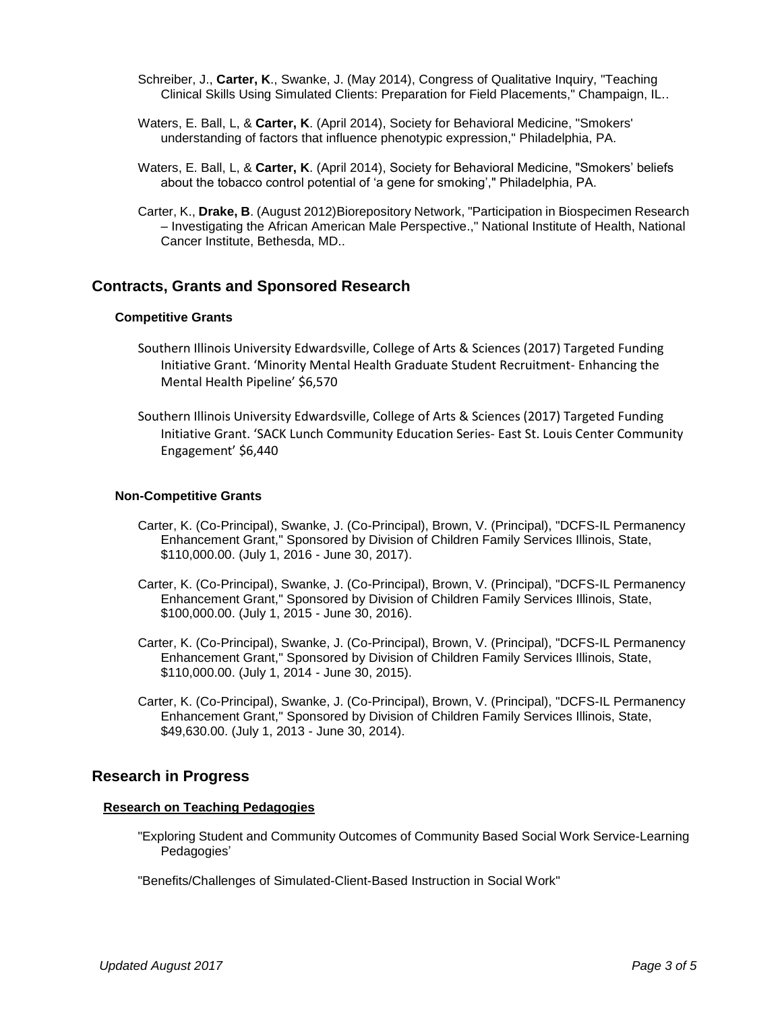- Schreiber, J., **Carter, K**., Swanke, J. (May 2014), Congress of Qualitative Inquiry, "Teaching Clinical Skills Using Simulated Clients: Preparation for Field Placements," Champaign, IL..
- Waters, E. Ball, L, & **Carter, K**. (April 2014), Society for Behavioral Medicine, "Smokers' understanding of factors that influence phenotypic expression," Philadelphia, PA.
- Waters, E. Ball, L, & **Carter, K**. (April 2014), Society for Behavioral Medicine, "Smokers' beliefs about the tobacco control potential of 'a gene for smoking'," Philadelphia, PA.
- Carter, K., **Drake, B**. (August 2012)Biorepository Network, "Participation in Biospecimen Research – Investigating the African American Male Perspective.," National Institute of Health, National Cancer Institute, Bethesda, MD..

## **Contracts, Grants and Sponsored Research**

#### **Competitive Grants**

- Southern Illinois University Edwardsville, College of Arts & Sciences (2017) Targeted Funding Initiative Grant. 'Minority Mental Health Graduate Student Recruitment- Enhancing the Mental Health Pipeline' \$6,570
- Southern Illinois University Edwardsville, College of Arts & Sciences (2017) Targeted Funding Initiative Grant. 'SACK Lunch Community Education Series- East St. Louis Center Community Engagement' \$6,440

#### **Non-Competitive Grants**

- Carter, K. (Co-Principal), Swanke, J. (Co-Principal), Brown, V. (Principal), "DCFS-IL Permanency Enhancement Grant," Sponsored by Division of Children Family Services Illinois, State, \$110,000.00. (July 1, 2016 - June 30, 2017).
- Carter, K. (Co-Principal), Swanke, J. (Co-Principal), Brown, V. (Principal), "DCFS-IL Permanency Enhancement Grant," Sponsored by Division of Children Family Services Illinois, State, \$100,000.00. (July 1, 2015 - June 30, 2016).
- Carter, K. (Co-Principal), Swanke, J. (Co-Principal), Brown, V. (Principal), "DCFS-IL Permanency Enhancement Grant," Sponsored by Division of Children Family Services Illinois, State, \$110,000.00. (July 1, 2014 - June 30, 2015).
- Carter, K. (Co-Principal), Swanke, J. (Co-Principal), Brown, V. (Principal), "DCFS-IL Permanency Enhancement Grant," Sponsored by Division of Children Family Services Illinois, State, \$49,630.00. (July 1, 2013 - June 30, 2014).

### **Research in Progress**

#### **Research on Teaching Pedagogies**

"Exploring Student and Community Outcomes of Community Based Social Work Service-Learning Pedagogies'

"Benefits/Challenges of Simulated-Client-Based Instruction in Social Work"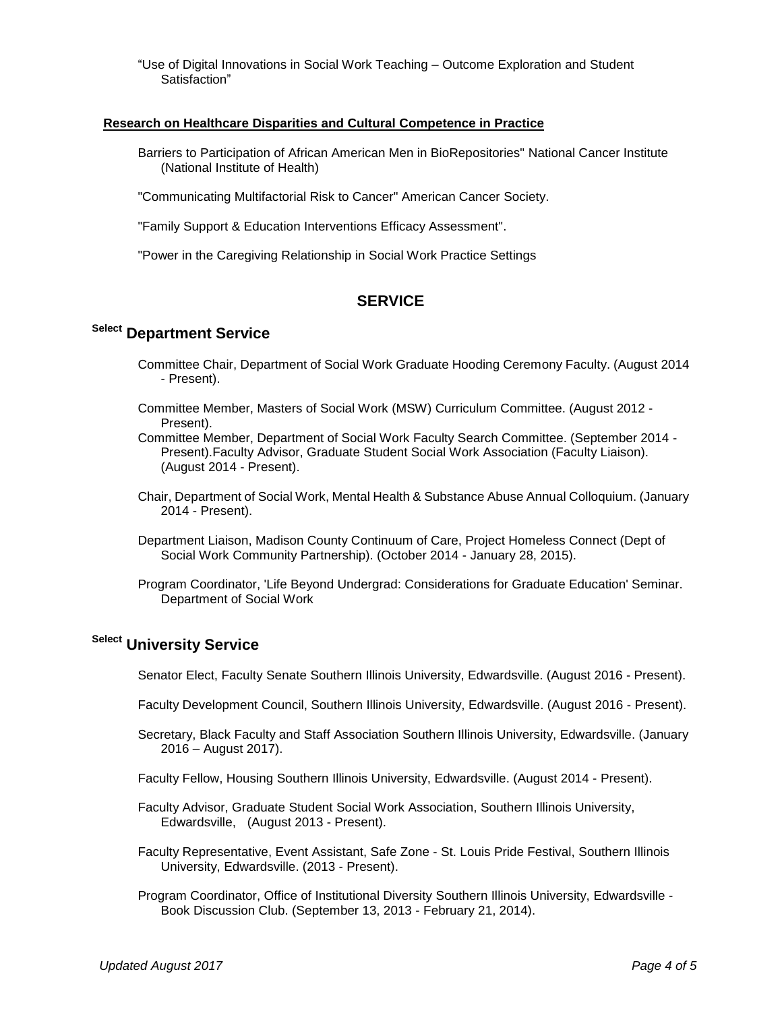"Use of Digital Innovations in Social Work Teaching – Outcome Exploration and Student Satisfaction"

#### **Research on Healthcare Disparities and Cultural Competence in Practice**

Barriers to Participation of African American Men in BioRepositories" National Cancer Institute (National Institute of Health)

"Communicating Multifactorial Risk to Cancer" American Cancer Society.

"Family Support & Education Interventions Efficacy Assessment".

"Power in the Caregiving Relationship in Social Work Practice Settings

### **SERVICE**

# **Select Department Service**

- Committee Chair, Department of Social Work Graduate Hooding Ceremony Faculty. (August 2014 - Present).
- Committee Member, Masters of Social Work (MSW) Curriculum Committee. (August 2012 Present).
- Committee Member, Department of Social Work Faculty Search Committee. (September 2014 Present).Faculty Advisor, Graduate Student Social Work Association (Faculty Liaison). (August 2014 - Present).
- Chair, Department of Social Work, Mental Health & Substance Abuse Annual Colloquium. (January 2014 - Present).
- Department Liaison, Madison County Continuum of Care, Project Homeless Connect (Dept of Social Work Community Partnership). (October 2014 - January 28, 2015).
- Program Coordinator, 'Life Beyond Undergrad: Considerations for Graduate Education' Seminar. Department of Social Work

# **Select University Service**

Senator Elect, Faculty Senate Southern Illinois University, Edwardsville. (August 2016 - Present).

- Faculty Development Council, Southern Illinois University, Edwardsville. (August 2016 Present).
- Secretary, Black Faculty and Staff Association Southern Illinois University, Edwardsville. (January 2016 – August 2017).
- Faculty Fellow, Housing Southern Illinois University, Edwardsville. (August 2014 Present).
- Faculty Advisor, Graduate Student Social Work Association, Southern Illinois University, Edwardsville, (August 2013 - Present).
- Faculty Representative, Event Assistant, Safe Zone St. Louis Pride Festival, Southern Illinois University, Edwardsville. (2013 - Present).
- Program Coordinator, Office of Institutional Diversity Southern Illinois University, Edwardsville Book Discussion Club. (September 13, 2013 - February 21, 2014).